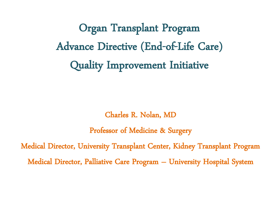Organ Transplant Program Advance Directive (End-of-Life Care) Quality Improvement Initiative

Charles R. Nolan, MD

Professor of Medicine & Surgery

Medical Director, University Transplant Center, Kidney Transplant Program Medical Director, Palliative Care Program – University Hospital System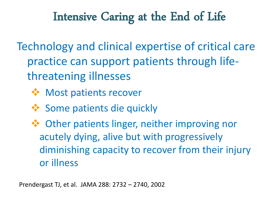Technology and clinical expertise of critical care practice can support patients through lifethreatening illnesses

- **❖ Most patients recover**
- ❖ Some patients die quickly

 Other patients linger, neither improving nor acutely dying, alive but with progressively diminishing capacity to recover from their injury or illness

Prendergast TJ, et al. JAMA 288: 2732 – 2740, 2002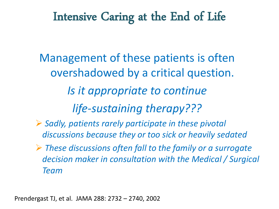Management of these patients is often overshadowed by a critical question. *Is it appropriate to continue life-sustaining therapy???*

- *Sadly, patients rarely participate in these pivotal discussions because they or too sick or heavily sedated*
- *These discussions often fall to the family or a surrogate decision maker in consultation with the Medical / Surgical Team*

Prendergast TJ, et al. JAMA 288: 2732 – 2740, 2002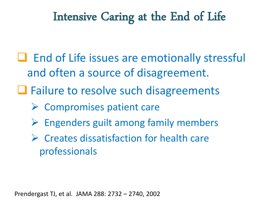- $\Box$  End of Life issues are emotionally stressful and often a source of disagreement.
- **□** Failure to resolve such disagreements
	- $\triangleright$  Compromises patient care
	- $\triangleright$  Engenders guilt among family members
	- $\triangleright$  Creates dissatisfaction for health care professionals

Prendergast TJ, et al. JAMA 288: 2732 – 2740, 2002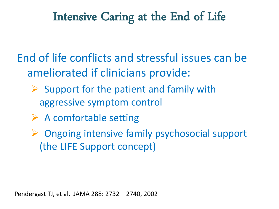End of life conflicts and stressful issues can be ameliorated if clinicians provide:

- $\triangleright$  Support for the patient and family with aggressive symptom control
- $\triangleright$  A comfortable setting
- ▶ Ongoing intensive family psychosocial support (the LIFE Support concept)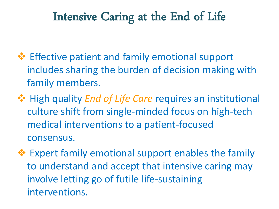- **Effective patient and family emotional support** includes sharing the burden of decision making with family members.
- $\dots$  High quality *End of Life Care* requires an institutional culture shift from single-minded focus on high-tech medical interventions to a patient-focused consensus.
- **Expert family emotional support enables the family** to understand and accept that intensive caring may involve letting go of futile life-sustaining interventions.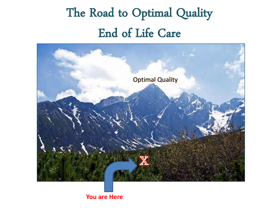# The Road to Optimal Quality End of Life Care



**You are Here**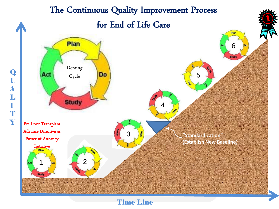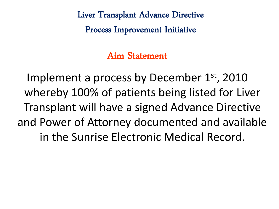Liver Transplant Advance Directive

Process Improvement Initiative

Aim Statement

Implement a process by December 1<sup>st</sup>, 2010 whereby 100% of patients being listed for Liver Transplant will have a signed Advance Directive and Power of Attorney documented and available in the Sunrise Electronic Medical Record.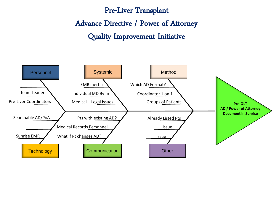Pre-Liver Transplant Advance Directive / Power of Attorney Quality Improvement Initiative

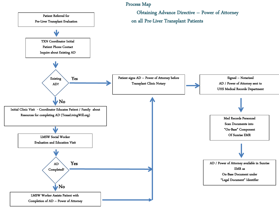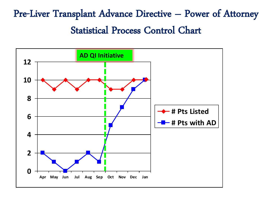## Pre-Liver Transplant Advance Directive – Power of Attorney Statistical Process Control Chart

![](_page_11_Figure_1.jpeg)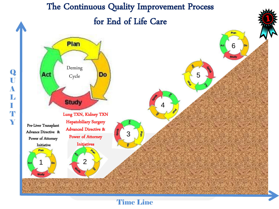![](_page_12_Figure_0.jpeg)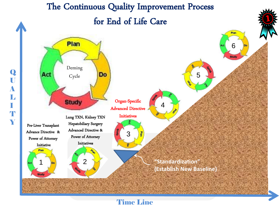![](_page_13_Figure_0.jpeg)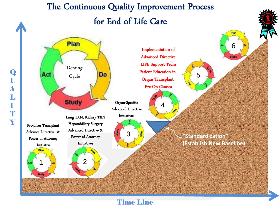### The Continuous Quality Improvement Process for End of Life Care

![](_page_14_Figure_1.jpeg)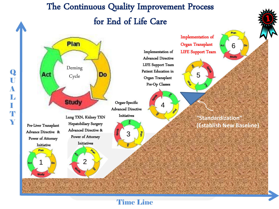![](_page_15_Figure_0.jpeg)